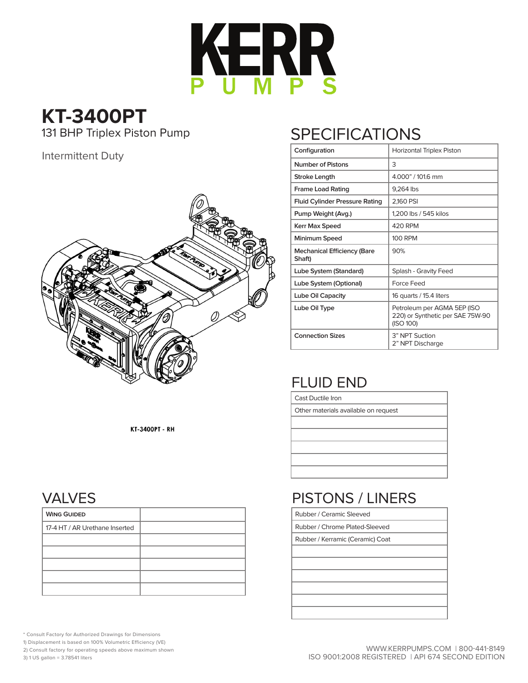

## **KT-3400PT**<br>131 BHP Triplex Piston Pump

Intermittent Duty



## **SPECIFICATIONS**

| Configuration                                | <b>Horizontal Triplex Piston</b>                                             |  |  |  |  |  |  |  |
|----------------------------------------------|------------------------------------------------------------------------------|--|--|--|--|--|--|--|
| <b>Number of Pistons</b>                     | 3                                                                            |  |  |  |  |  |  |  |
| Stroke Length                                | 4.000" / 101.6 mm                                                            |  |  |  |  |  |  |  |
| <b>Frame Load Rating</b>                     | 9,264 lbs                                                                    |  |  |  |  |  |  |  |
| <b>Fluid Cylinder Pressure Rating</b>        | 2,160 PSI                                                                    |  |  |  |  |  |  |  |
| Pump Weight (Avg.)                           | 1,200 lbs / 545 kilos                                                        |  |  |  |  |  |  |  |
| Kerr Max Speed                               | <b>420 RPM</b>                                                               |  |  |  |  |  |  |  |
| Minimum Speed                                | <b>100 RPM</b>                                                               |  |  |  |  |  |  |  |
| <b>Mechanical Efficiency (Bare</b><br>Shaft) | 90%                                                                          |  |  |  |  |  |  |  |
| Lube System (Standard)                       | Splash - Gravity Feed                                                        |  |  |  |  |  |  |  |
| Lube System (Optional)                       | Force Feed                                                                   |  |  |  |  |  |  |  |
| Lube Oil Capacity                            | 16 quarts / 15.4 liters                                                      |  |  |  |  |  |  |  |
| Lube Oil Type                                | Petroleum per AGMA 5EP (ISO<br>220) or Synthetic per SAE 75W-90<br>(ISO 100) |  |  |  |  |  |  |  |
| <b>Connection Sizes</b>                      | 3" NPT Suction<br>2" NPT Discharge                                           |  |  |  |  |  |  |  |

## FLUID END

Rubber / Ceramic Sleeved Rubber / Chrome Plated-Sleeved Rubber / Kerramic (Ceramic) Coat

Cast Ductile Iron

Other materials available on request

PISTONS / LINERS

KT-3400PT - RH

## VALVES

| <b>WING GUIDED</b>             |  |
|--------------------------------|--|
| 17-4 HT / AR Urethane Inserted |  |
|                                |  |
|                                |  |
|                                |  |
|                                |  |
|                                |  |

\* Consult Factory for Authorized Drawings for Dimensions

- 1) Displacement is based on 100% Volumetric Efficiency (VE)
- 2) Consult factory for operating speeds above maximum shown

3) 1 US gallon = 3.78541 liters